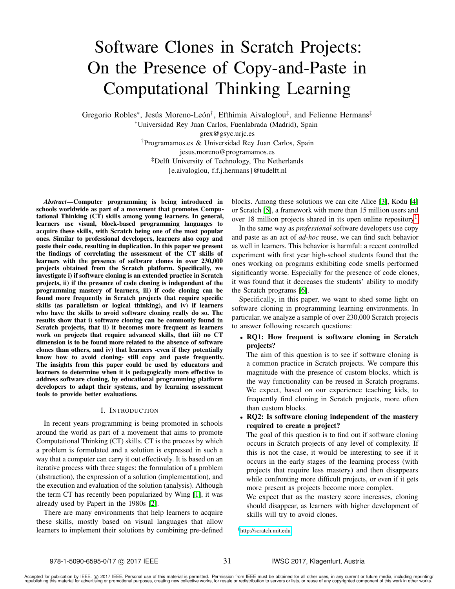# Software Clones in Scratch Projects: On the Presence of Copy-and-Paste in Computational Thinking Learning

Gregorio Robles<sup>\*</sup>, Jesús Moreno-León<sup>†</sup>, Efthimia Aivaloglou<sup>‡</sup>, and Felienne Hermans<sup>‡</sup>

<sup>∗</sup>Universidad Rey Juan Carlos, Fuenlabrada (Madrid), Spain grex@gsyc.urjc.es †Programamos.es & Universidad Rey Juan Carlos, Spain jesus.moreno@programamos.es ‡Delft University of Technology, The Netherlands {e.aivaloglou, f.f.j.hermans}@tudelft.nl

*Abstract*—Computer programming is being introduced in schools worldwide as part of a movement that promotes Computational Thinking (CT) skills among young learners. In general, learners use visual, block-based programming languages to acquire these skills, with Scratch being one of the most popular ones. Similar to professional developers, learners also copy and paste their code, resulting in duplication. In this paper we present the findings of correlating the assessment of the CT skills of learners with the presence of software clones in over 230,000 projects obtained from the Scratch platform. Specifically, we investigate i) if software cloning is an extended practice in Scratch projects, ii) if the presence of code cloning is independent of the programming mastery of learners, iii) if code cloning can be found more frequently in Scratch projects that require specific skills (as parallelism or logical thinking), and iv) if learners who have the skills to avoid software cloning really do so. The results show that i) software cloning can be commonly found in Scratch projects, that ii) it becomes more frequent as learners work on projects that require advanced skills, that iii) no CT dimension is to be found more related to the absence of software clones than others, and iv) that learners -even if they potentially know how to avoid cloning- still copy and paste frequently. The insights from this paper could be used by educators and learners to determine when it is pedagogically more effective to address software cloning, by educational programming platform developers to adapt their systems, and by learning assessment tools to provide better evaluations.

## I. INTRODUCTION

In recent years programming is being promoted in schools around the world as part of a movement that aims to promote Computational Thinking (CT) skills. CT is the process by which a problem is formulated and a solution is expressed in such a way that a computer can carry it out effectively. It is based on an iterative process with three stages: the formulation of a problem (abstraction), the expression of a solution (implementation), and the execution and evaluation of the solution (analysis). Although the term CT has recently been popularized by Wing [\[1\]](#page-6-0), it was already used by Papert in the 1980s [\[2\]](#page-6-1).

There are many environments that help learners to acquire these skills, mostly based on visual languages that allow learners to implement their solutions by combining pre-defined blocks. Among these solutions we can cite Alice [\[3\]](#page-6-2), Kodu [\[4\]](#page-6-3) or Scratch [\[5\]](#page-6-4), a framework with more than 15 million users and over [1](#page-0-0)8 million projects shared in its open online repository<sup>1</sup>.

In the same way as *professional* software developers use copy and paste as an act of *ad-hoc* reuse, we can find such behavior as well in learners. This behavior is harmful: a recent controlled experiment with first year high-school students found that the ones working on programs exhibiting code smells performed significantly worse. Especially for the presence of code clones, it was found that it decreases the students' ability to modify the Scratch programs [\[6\]](#page-6-5).

Specifically, in this paper, we want to shed some light on software cloning in programming learning environments. In particular, we analyze a sample of over 230,000 Scratch projects to answer following research questions:

# • RQ1: How frequent is software cloning in Scratch projects?

The aim of this question is to see if software cloning is a common practice in Scratch projects. We compare this magnitude with the presence of custom blocks, which is the way functionality can be reused in Scratch programs. We expect, based on our experience teaching kids, to frequently find cloning in Scratch projects, more often than custom blocks.

# • RQ2: Is software cloning independent of the mastery required to create a project?

The goal of this question is to find out if software cloning occurs in Scratch projects of any level of complexity. If this is not the case, it would be interesting to see if it occurs in the early stages of the learning process (with projects that require less mastery) and then disappears while confronting more difficult projects, or even if it gets more present as projects become more complex.

We expect that as the mastery score increases, cloning should disappear, as learners with higher development of skills will try to avoid clones.

<span id="page-0-0"></span><sup>1</sup><http://scratch.mit.edu>

31

Accepted for publication by IEEE. © 2017 IEEE. Personal use of this material is permitted. Permission from IEEE must be obtained for all other uses, in any current or future media, including reprinting/<br>republishing this m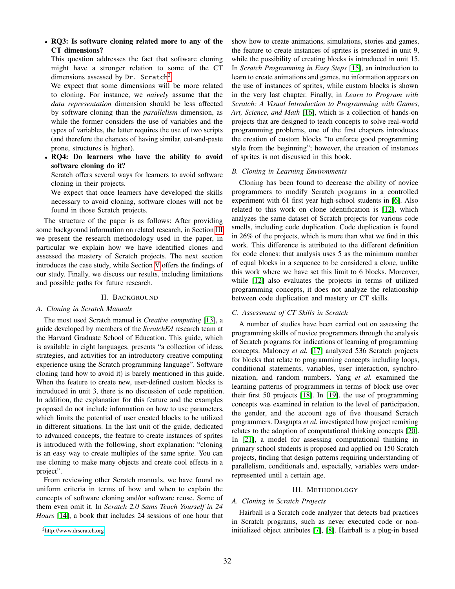• RQ3: Is software cloning related more to any of the CT dimensions?

This question addresses the fact that software cloning might have a stronger relation to some of the CT dimensions assessed by  $Dr$ . Scratch<sup>[2](#page-1-0)</sup>.

We expect that some dimensions will be more related to cloning. For instance, we *naively* assume that the *data representation* dimension should be less affected by software cloning than the *parallelism* dimension, as while the former considers the use of variables and the types of variables, the latter requires the use of two scripts (and therefore the chances of having similar, cut-and-paste prone, structures is higher).

• RQ4: Do learners who have the ability to avoid software cloning do it?

Scratch offers several ways for learners to avoid software cloning in their projects.

We expect that once learners have developed the skills necessary to avoid cloning, software clones will not be found in those Scratch projects.

The structure of the paper is as follows: After providing some background information on related research, in Section [III](#page-1-1) we present the research methodology used in the paper, in particular we explain how we have identified clones and assessed the mastery of Scratch projects. The next section introduces the case study, while Section [V](#page-3-0) offers the findings of our study. Finally, we discuss our results, including limitations and possible paths for future research.

## II. BACKGROUND

#### *A. Cloning in Scratch Manuals*

The most used Scratch manual is *Creative computing* [\[13\]](#page-6-6), a guide developed by members of the *ScratchEd* research team at the Harvard Graduate School of Education. This guide, which is available in eight languages, presents "a collection of ideas, strategies, and activities for an introductory creative computing experience using the Scratch programming language". Software cloning (and how to avoid it) is barely mentioned in this guide. When the feature to create new, user-defined custom blocks is introduced in unit 3, there is no discussion of code repetition. In addition, the explanation for this feature and the examples proposed do not include information on how to use parameters, which limits the potential of user created blocks to be utilized in different situations. In the last unit of the guide, dedicated to advanced concepts, the feature to create instances of sprites is introduced with the following, short explanation: "cloning is an easy way to create multiples of the same sprite. You can use cloning to make many objects and create cool effects in a project".

From reviewing other Scratch manuals, we have found no uniform criteria in terms of how and when to explain the concepts of software cloning and/or software reuse. Some of them even omit it. In *Scratch 2.0 Sams Teach Yourself in 24 Hours* [\[14\]](#page-6-7), a book that includes 24 sessions of one hour that

<span id="page-1-0"></span><sup>2</sup><http://www.drscratch.org>

show how to create animations, simulations, stories and games, the feature to create instances of sprites is presented in unit 9, while the possibility of creating blocks is introduced in unit 15. In *Scratch Programming in Easy Steps* [\[15\]](#page-6-8), an introduction to learn to create animations and games, no information appears on the use of instances of sprites, while custom blocks is shown in the very last chapter. Finally, in *Learn to Program with Scratch: A Visual Introduction to Programming with Games, Art, Science, and Math* [\[16\]](#page-6-9), which is a collection of hands-on projects that are designed to teach concepts to solve real-world programming problems, one of the first chapters introduces the creation of custom blocks "to enforce good programming style from the beginning"; however, the creation of instances of sprites is not discussed in this book.

## *B. Cloning in Learning Environments*

Cloning has been found to decrease the ability of novice programmers to modify Scratch programs in a controlled experiment with 61 first year high-school students in [\[6\]](#page-6-5). Also related to this work on clone identification is [\[12\]](#page-6-10), which analyzes the same dataset of Scratch projects for various code smells, including code duplication. Code duplication is found in 26% of the projects, which is more than what we find in this work. This difference is attributed to the different definition for code clones: that analysis uses 5 as the minimum number of equal blocks in a sequence to be considered a clone, unlike this work where we have set this limit to 6 blocks. Moreover, while [\[12\]](#page-6-10) also evaluates the projects in terms of utilized programming concepts, it does not analyze the relationship between code duplication and mastery or CT skills.

## *C. Assessment of CT Skills in Scratch*

A number of studies have been carried out on assessing the programming skills of novice programmers through the analysis of Scratch programs for indications of learning of programming concepts. Maloney *et al.* [\[17\]](#page-6-11) analyzed 536 Scratch projects for blocks that relate to programming concepts including loops, conditional statements, variables, user interaction, synchronization, and random numbers. Yang *et al.* examined the learning patterns of programmers in terms of block use over their first 50 projects [\[18\]](#page-6-12). In [\[19\]](#page-6-13), the use of programming concepts was examined in relation to the level of participation, the gender, and the account age of five thousand Scratch programmers. Dasgupta *et al.* investigated how project remixing relates to the adoption of computational thinking concepts [\[20\]](#page-6-14). In [\[21\]](#page-6-15), a model for assessing computational thinking in primary school students is proposed and applied on 150 Scratch projects, finding that design patterns requiring understanding of parallelism, conditionals and, especially, variables were underrepresented until a certain age.

#### III. METHODOLOGY

## <span id="page-1-1"></span>*A. Cloning in Scratch Projects*

Hairball is a Scratch code analyzer that detects bad practices in Scratch programs, such as never executed code or noninitialized object attributes [\[7\]](#page-6-16), [\[8\]](#page-6-17). Hairball is a plug-in based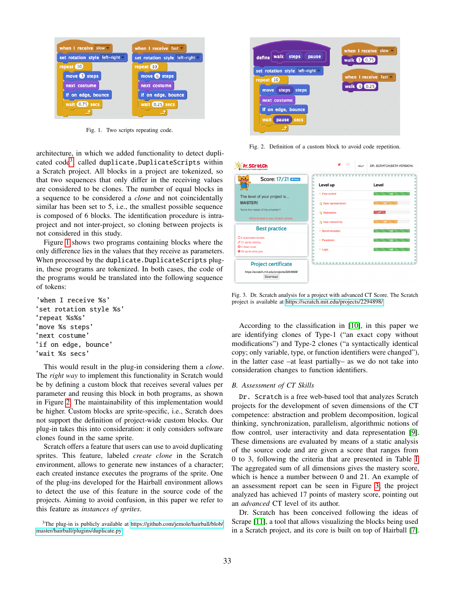

<span id="page-2-1"></span>Fig. 1. Two scripts repeating code.

architecture, in which we added functionality to detect duplicated  $\rm code^3$  $\rm code^3$ , called  $\rm duplicate.DuplicateScripts$  within a Scratch project. All blocks in a project are tokenized, so that two sequences that only differ in the receiving values are considered to be clones. The number of equal blocks in a sequence to be considered a *clone* and not coincidentally similar has been set to 5, i.e., the smallest possible sequence is composed of 6 blocks. The identification procedure is intraproject and not inter-project, so cloning between projects is not considered in this study.

Figure [1](#page-2-1) shows two programs containing blocks where the only difference lies in the values that they receive as parameters. When processed by the duplicate.DuplicateScripts plugin, these programs are tokenized. In both cases, the code of the programs would be translated into the following sequence of tokens:

'when I receive %s' 'set rotation style %s' 'repeat %s%s' 'move %s steps' 'next costume' 'if on edge, bounce' 'wait %s secs'

This would result in the plug-in considering them a *clone*. The *right way* to implement this functionality in Scratch would be by defining a custom block that receives several values per parameter and reusing this block in both programs, as shown in Figure [2.](#page-2-2) The maintainability of this implementation would be higher. Custom blocks are sprite-specific, i.e., Scratch does not support the definition of project-wide custom blocks. Our plug-in takes this into consideration: it only considers software clones found in the same sprite.

Scratch offers a feature that users can use to avoid duplicating sprites. This feature, labeled *create clone* in the Scratch environment, allows to generate new instances of a character; each created instance executes the programs of the sprite. One of the plug-ins developed for the Hairball environment allows to detect the use of this feature in the source code of the projects. Aiming to avoid confusion, in this paper we refer to this feature as *instances of sprites*.

<span id="page-2-0"></span><sup>3</sup>The plug-in is publicly available at [https://github.com/jemole/hairball/blob/](https://github.com/jemole/hairball/blob/master/hairball/plugins/duplicate.py) [master/hairball/plugins/duplicate.py](https://github.com/jemole/hairball/blob/master/hairball/plugins/duplicate.py)



Fig. 2. Definition of a custom block to avoid code repetition.

<span id="page-2-2"></span>

| Pr. SCral                                                                            | $\sim$                                        | DR. SCRATCH(BETA VERSION)<br>HELP |
|--------------------------------------------------------------------------------------|-----------------------------------------------|-----------------------------------|
| Score: 17/21<br>$1 - 1$                                                              | Level up                                      | Level                             |
| The level of your project is                                                         | $\star$ Flow control                          | 3/3                               |
| <b>MASTER!</b>                                                                       | <b>SE Data representation</b>                 | 2/3                               |
| You're the master of the universe!!!<br><b>iC/Come back to your Scratch project.</b> | Abstraction                                   | 1/3                               |
| <b>Best practice</b>                                                                 | User interactivity<br>$\star$ Synchronization | 2/3<br>3/3                        |
| C 6 duplicated scripts.<br>✔ 31 sprite naming.                                       | $\star$ Parallelism                           | 3/3                               |
| <b>O</b> 0 dead code.<br><b>O</b> 26 sprite attributes.                              | $\star$ Logic                                 | 3/3                               |
| <b>Project certificate</b>                                                           | .<br>ш                                        |                                   |
| https://scratch.mit.edu/projects/2294898/<br>Download                                |                                               |                                   |

<span id="page-2-3"></span>Fig. 3. Dr. Scratch analysis for a project with advanced CT Score. The Scratch project is available at<https://scratch.mit.edu/projects/2294898/>

According to the classification in [\[10\]](#page-6-18), in this paper we are identifying clones of Type-1 ("an exact copy without modifications") and Type-2 clones ("a syntactically identical copy; only variable, type, or function identifiers were changed"), in the latter case –at least partially– as we do not take into consideration changes to function identifiers.

## *B. Assessment of CT Skills*

Dr. Scratch is a free web-based tool that analyzes Scratch projects for the development of seven dimensions of the CT competence: abstraction and problem decomposition, logical thinking, synchronization, parallelism, algorithmic notions of flow control, user interactivity and data representation [\[9\]](#page-6-19). These dimensions are evaluated by means of a static analysis of the source code and are given a score that ranges from 0 to 3, following the criteria that are presented in Table [I.](#page-3-1) The aggregated sum of all dimensions gives the mastery score, which is hence a number between 0 and 21. An example of an assessment report can be seen in Figure [3;](#page-2-3) the project analyzed has achieved 17 points of mastery score, pointing out an *advanced* CT level of its author.

Dr. Scratch has been conceived following the ideas of Scrape [\[11\]](#page-6-20), a tool that allows visualizing the blocks being used in a Scratch project, and its core is built on top of Hairball [\[7\]](#page-6-16).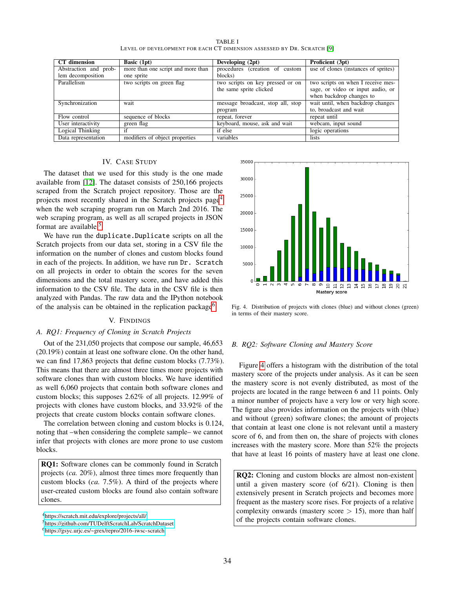<span id="page-3-1"></span>

| CT dimension          | <b>Basic</b> $(1pt)$               | Developing (2pt)                  | Proficient (3pt)                     |
|-----------------------|------------------------------------|-----------------------------------|--------------------------------------|
| Abstraction and prob- | more than one script and more than | procedures (creation of custom    | use of clones (instances of sprites) |
| lem decomposition     | one sprite                         | blocks)                           |                                      |
| Parallelism           | two scripts on green flag          | two scripts on key pressed or on  | two scripts on when I receive mes-   |
|                       |                                    | the same sprite clicked           | sage, or video or input audio, or    |
|                       |                                    |                                   | when backdrop changes to             |
| Synchronization       | wait                               | message broadcast, stop all, stop | wait until, when backdrop changes    |
|                       |                                    | program                           | to, broadcast and wait               |
| Flow control          | sequence of blocks                 | repeat, forever                   | repeat until                         |
| User interactivity    | green flag                         | keyboard, mouse, ask and wait     | webcam, input sound                  |
| Logical Thinking      | if                                 | if else                           | logic operations                     |
| Data representation   | modifiers of object properties     | variables                         | lists                                |

TABLE I LEVEL OF DEVELOPMENT FOR EACH CT DIMENSION ASSESSED BY DR. SCRATCH [\[9\]](#page-6-19)

## IV. CASE STUDY

The dataset that we used for this study is the one made available from [\[12\]](#page-6-10). The dataset consists of 250,166 projects scraped from the Scratch project repository. Those are the projects most recently shared in the Scratch projects page<sup>[4](#page-3-2)</sup> when the web scraping program run on March 2nd 2016. The web scraping program, as well as all scraped projects in JSON format are available.<sup>[5](#page-3-3)</sup>

We have run the duplicate.Duplicate scripts on all the Scratch projects from our data set, storing in a CSV file the information on the number of clones and custom blocks found in each of the projects. In addition, we have run Dr. Scratch on all projects in order to obtain the scores for the seven dimensions and the total mastery score, and have added this information to the CSV file. The data in the CSV file is then analyzed with Pandas. The raw data and the IPython notebook of the analysis can be obtained in the replication package<sup>[6](#page-3-4)</sup>.

# V. FINDINGS

# <span id="page-3-0"></span>*A. RQ1: Frequency of Cloning in Scratch Projects*

Out of the 231,050 projects that compose our sample, 46,653 (20.19%) contain at least one software clone. On the other hand, we can find 17,863 projects that define custom blocks (7.73%). This means that there are almost three times more projects with software clones than with custom blocks. We have identified as well 6,060 projects that contain both software clones and custom blocks; this supposes 2.62% of all projects. 12.99% of projects with clones have custom blocks, and 33.92% of the projects that create custom blocks contain software clones.

The correlation between cloning and custom blocks is 0.124, noting that –when considering the complete sample– we cannot infer that projects with clones are more prone to use custom blocks.

RQ1: Software clones can be commonly found in Scratch projects (*ca.* 20%), almost three times more frequently than custom blocks (*ca.* 7.5%). A third of the projects where user-created custom blocks are found also contain software clones.



<span id="page-3-5"></span>

# *B. RQ2: Software Cloning and Mastery Score*

Figure [4](#page-3-5) offers a histogram with the distribution of the total mastery score of the projects under analysis. As it can be seen the mastery score is not evenly distributed, as most of the projects are located in the range between 6 and 11 points. Only a minor number of projects have a very low or very high score. The figure also provides information on the projects with (blue) and without (green) software clones; the amount of projects that contain at least one clone is not relevant until a mastery score of 6, and from then on, the share of projects with clones increases with the mastery score. More than 52% the projects that have at least 16 points of mastery have at least one clone.

RQ2: Cloning and custom blocks are almost non-existent until a given mastery score (of 6/21). Cloning is then extensively present in Scratch projects and becomes more frequent as the mastery score rises. For projects of a relative complexity onwards (mastery score  $> 15$ ), more than half of the projects contain software clones.

<span id="page-3-2"></span><sup>4</sup><https://scratch.mit.edu/explore/projects/all/>

<span id="page-3-3"></span><sup>5</sup><https://github.com/TUDelftScratchLab/ScratchDataset>

<span id="page-3-4"></span><sup>6</sup><https://gsyc.urjc.es/~grex/repro/2016-iwsc-scratch>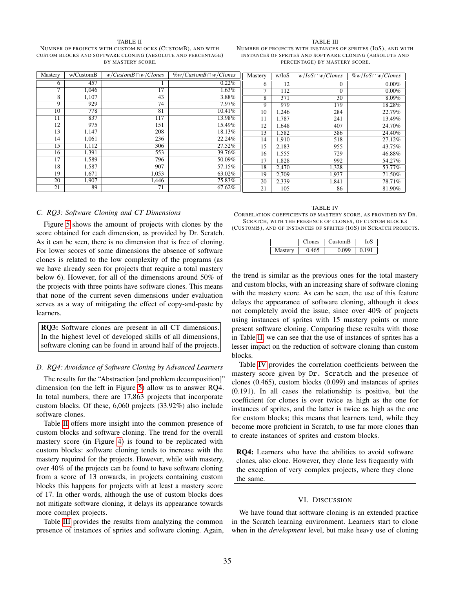#### TABLE II

<span id="page-4-0"></span>NUMBER OF PROJECTS WITH CUSTOM BLOCKS (CUSTOMB), AND WITH CUSTOM BLOCKS AND SOFTWARE CLONING (ABSOLUTE AND PERCENTAGE) BY MASTERY SCORE.

#### TABLE III

<span id="page-4-1"></span>NUMBER OF PROJECTS WITH INSTANCES OF SPRITES (IOS), AND WITH INSTANCES OF SPRITES AND SOFTWARE CLONING (ABSOLUTE AND PERCENTAGE) BY MASTERY SCORE.

| Mastery                  | w/CustomB | $w/CustomB \cap w/Clones$ | $\%w/CustomB\cap w/Clones$ | Mastery       | w/IoS | $w/IoS \cap w/Clones$ | $\%w/IoS \cap w/Clones$ |
|--------------------------|-----------|---------------------------|----------------------------|---------------|-------|-----------------------|-------------------------|
| 6                        | 457       |                           | $0.22\%$                   | 6             | 12    | $\theta$              | $0.00\%$                |
| $\overline{\phantom{a}}$ | 1,046     | 17                        | 1.63%                      | $\mathcal{I}$ | 112   | $\Omega$              | $0.00\%$                |
| 8                        | 1,107     | 43                        | 3.88%                      | 8             | 371   | $\overline{30}$       | 8.09%                   |
| 9                        | 929       | 74                        | 7.97%                      | 9             | 979   | 179                   | 18.28%                  |
| 10                       | 778       | 81                        | 10.41%                     | 10            | 1,246 | 284                   | 22.79%                  |
| 11                       | 837       | 117                       | $13.98\%$                  | 11            | 1.787 | 241                   | 13.49%                  |
| 12                       | 975       | 151                       | 15.49%                     | 12            | 1,648 | 407                   | 24.70%                  |
| 13                       | 1,147     | 208                       | 18.13%                     | 13            | 1,582 | 386                   | 24.40%                  |
| 14                       | 1,061     | 236                       | 22.24%                     | 14            | 1,910 | 518                   | 27.12%                  |
| 15                       | 1,112     | 306                       | 27.52%                     | 15            | 2,183 | 955                   | 43.75%                  |
| 16                       | 1,391     | 553                       | 39.76%                     | 16            | 1,555 | 729                   | 46.88%                  |
| 17                       | 1,589     | 796                       | 50.09%                     | 17            | 1,828 | 992                   | 54.27%                  |
| 18                       | 1,587     | 907                       | 57.15%                     | 18            | 2,470 | 1,328                 | 53.77%                  |
| 19                       | 1,671     | 1,053                     | 63.02%                     | 19            | 2,709 | 1,937                 | 71.50%                  |
| 20                       | 1,907     | 1,446                     | 75.83%                     | 20            | 2,339 | 1,841                 | 78.71%                  |
| 21                       | 89        | 71                        | 67.62%                     | 21            | 105   | 86                    | 81.90%                  |

## *C. RQ3: Software Cloning and CT Dimensions*

Figure [5](#page-5-0) shows the amount of projects with clones by the score obtained for each dimension, as provided by Dr. Scratch. As it can be seen, there is no dimension that is free of cloning. For lower scores of some dimensions the absence of software clones is related to the low complexity of the programs (as we have already seen for projects that require a total mastery below 6). However, for all of the dimensions around 50% of the projects with three points have software clones. This means that none of the current seven dimensions under evaluation serves as a way of mitigating the effect of copy-and-paste by learners.

RQ3: Software clones are present in all CT dimensions. In the highest level of developed skills of all dimensions, software cloning can be found in around half of the projects.

## *D. RQ4: Avoidance of Software Cloning by Advanced Learners*

The results for the "Abstraction [and problem decomposition]" dimension (on the left in Figure [5\)](#page-5-0) allow us to answer RQ4. In total numbers, there are 17,863 projects that incorporate custom blocks. Of these, 6,060 projects (33.92%) also include software clones.

Table [II](#page-4-0) offers more insight into the common presence of custom blocks and software cloning. The trend for the overall mastery score (in Figure [4\)](#page-3-5) is found to be replicated with custom blocks: software cloning tends to increase with the mastery required for the projects. However, while with mastery, over 40% of the projects can be found to have software cloning from a score of 13 onwards, in projects containing custom blocks this happens for projects with at least a mastery score of 17. In other words, although the use of custom blocks does not mitigate software cloning, it delays its appearance towards more complex projects.

Table [III](#page-4-1) provides the results from analyzing the common presence of instances of sprites and software cloning. Again,

TABLE IV

<span id="page-4-2"></span>CORRELATION COEFFICIENTS OF MASTERY SCORE, AS PROVIDED BY DR. SCRATCH, WITH THE PRESENCE OF CLONES, OF CUSTOM BLOCKS (CUSTOMB), AND OF INSTANCES OF SPRITES (IOS) IN SCRATCH PROJECTS.

|       | nes | $C$ ustom $B$ |       |
|-------|-----|---------------|-------|
| sterv |     | 000           | 0.191 |

the trend is similar as the previous ones for the total mastery and custom blocks, with an increasing share of software cloning with the mastery score. As can be seen, the use of this feature delays the appearance of software cloning, although it does not completely avoid the issue, since over 40% of projects using instances of sprites with 15 mastery points or more present software cloning. Comparing these results with those in Table [II,](#page-4-0) we can see that the use of instances of sprites has a lesser impact on the reduction of software cloning than custom blocks.

Table [IV](#page-4-2) provides the correlation coefficients between the mastery score given by Dr. Scratch and the presence of clones (0.465), custom blocks (0.099) and instances of sprites (0.191). In all cases the relationship is positive, but the coefficient for clones is over twice as high as the one for instances of sprites, and the latter is twice as high as the one for custom blocks; this means that learners tend, while they become more proficient in Scratch, to use far more clones than to create instances of sprites and custom blocks.

RQ4: Learners who have the abilities to avoid software clones, also clone. However, they clone less frequently with the exception of very complex projects, where they clone the same.

#### VI. DISCUSSION

We have found that software cloning is an extended practice in the Scratch learning environment. Learners start to clone when in the *development* level, but make heavy use of cloning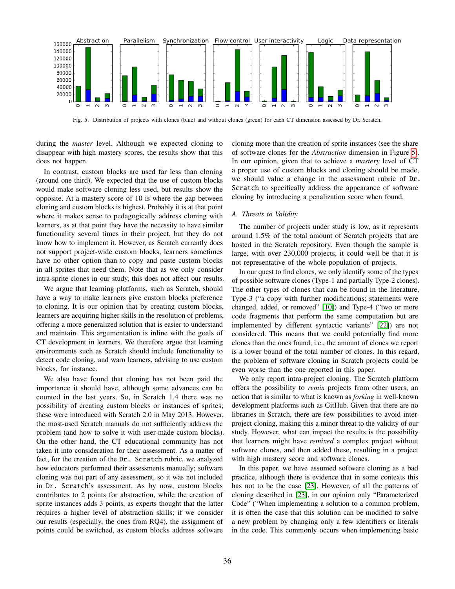

<span id="page-5-0"></span>Fig. 5. Distribution of projects with clones (blue) and without clones (green) for each CT dimension assessed by Dr. Scratch.

during the *master* level. Although we expected cloning to disappear with high mastery scores, the results show that this does not happen.

In contrast, custom blocks are used far less than cloning (around one third). We expected that the use of custom blocks would make software cloning less used, but results show the opposite. At a mastery score of 10 is where the gap between cloning and custom blocks is highest. Probably it is at that point where it makes sense to pedagogically address cloning with learners, as at that point they have the necessity to have similar functionality several times in their project, but they do not know how to implement it. However, as Scratch currently does not support project-wide custom blocks, learners sometimes have no other option than to copy and paste custom blocks in all sprites that need them. Note that as we only consider intra-sprite clones in our study, this does not affect our results.

We argue that learning platforms, such as Scratch, should have a way to make learners give custom blocks preference to cloning. It is our opinion that by creating custom blocks, learners are acquiring higher skills in the resolution of problems, offering a more generalized solution that is easier to understand and maintain. This argumentation is inline with the goals of CT development in learners. We therefore argue that learning environments such as Scratch should include functionality to detect code cloning, and warn learners, advising to use custom blocks, for instance.

We also have found that cloning has not been paid the importance it should have, although some advances can be counted in the last years. So, in Scratch 1.4 there was no possibility of creating custom blocks or instances of sprites; these were introduced with Scratch 2.0 in May 2013. However, the most-used Scratch manuals do not sufficiently address the problem (and how to solve it with user-made custom blocks). On the other hand, the CT educational community has not taken it into consideration for their assessment. As a matter of fact, for the creation of the Dr. Scratch rubric, we analyzed how educators performed their assessments manually; software cloning was not part of any assessment, so it was not included in Dr. Scratch's assessment. As by now, custom blocks contributes to 2 points for abstraction, while the creation of sprite instances adds 3 points, as experts thought that the latter requires a higher level of abstraction skills; if we consider our results (especially, the ones from RQ4), the assignment of points could be switched, as custom blocks address software

cloning more than the creation of sprite instances (see the share of software clones for the *Abstraction* dimension in Figure [5\)](#page-5-0). In our opinion, given that to achieve a *mastery* level of CT a proper use of custom blocks and cloning should be made, we should value a change in the assessment rubric of Dr. Scratch to specifically address the appearance of software cloning by introducing a penalization score when found.

## *A. Threats to Validity*

The number of projects under study is low, as it represents around 1.5% of the total amount of Scratch projects that are hosted in the Scratch repository. Even though the sample is large, with over 230,000 projects, it could well be that it is not representative of the whole population of projects.

In our quest to find clones, we only identify some of the types of possible software clones (Type-1 and partially Type-2 clones). The other types of clones that can be found in the literature, Type-3 ("a copy with further modifications; statements were changed, added, or removed" [\[10\]](#page-6-18)) and Type-4 ("two or more code fragments that perform the same computation but are implemented by different syntactic variants" [\[22\]](#page-6-21)) are not considered. This means that we could potentially find more clones than the ones found, i.e., the amount of clones we report is a lower bound of the total number of clones. In this regard, the problem of software cloning in Scratch projects could be even worse than the one reported in this paper.

We only report intra-project cloning. The Scratch platform offers the possibility to *remix* projects from other users, an action that is similar to what is known as *forking* in well-known development platforms such as GitHub. Given that there are no libraries in Scratch, there are few possibilities to avoid interproject cloning, making this a minor threat to the validity of our study. However, what can impact the results is the possibility that learners might have *remixed* a complex project without software clones, and then added these, resulting in a project with high mastery score and software clones.

In this paper, we have assumed software cloning as a bad practice, although there is evidence that in some contexts this has not to be the case [\[23\]](#page-6-22). However, of all the patterns of cloning described in [\[23\]](#page-6-22), in our opinion only "Parameterized Code" ("When implementing a solution to a common problem, it is often the case that this solution can be modified to solve a new problem by changing only a few identifiers or literals in the code. This commonly occurs when implementing basic